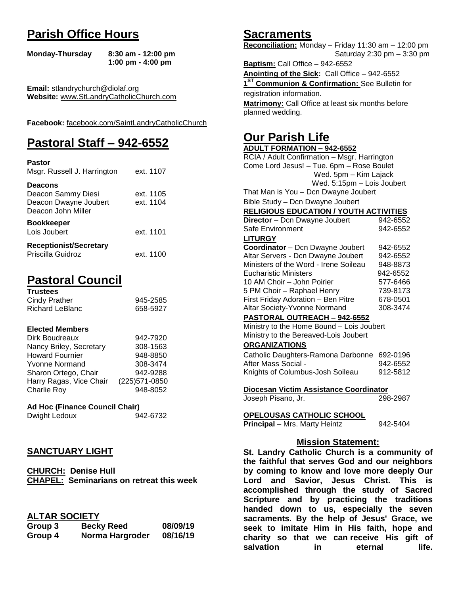# **Parish Office Hours**

```
Monday-Thursday 8:30 am - 12:00 pm
       1:00 pm - 4:00 pm
```
**Email:** stlandrychurch@diolaf.org **Website:** [www.StLandryCatholicChurch.com](http://www.stlandrycatholicchurch.com/)

**Facebook:** [facebook.com/SaintLandryCatholicChurch](http://facebook.com/SaintLandryCatholicChurch)

# **Pastoral Staff – 942-6552**

| <b>Pastor</b><br>Msgr. Russell J. Harrington                                        | ext. 1107              |
|-------------------------------------------------------------------------------------|------------------------|
| <b>Deacons</b><br>Deacon Sammy Diesi<br>Deacon Dwayne Joubert<br>Deacon John Miller | ext. 1105<br>ext. 1104 |
| <b>Bookkeeper</b><br>Lois Joubert                                                   | ext. 1101              |
| <b>Receptionist/Secretary</b><br>Priscilla Guidroz                                  | ext. 1100              |

# **Pastoral Council**

| <b>Trustees</b> |          |
|-----------------|----------|
| Cindy Prather   | 945-2585 |
| Richard LeBlanc | 658-5927 |

#### **Elected Members**

| Dirk Boudreaux          | 942-7920       |
|-------------------------|----------------|
| Nancy Briley, Secretary | 308-1563       |
| <b>Howard Fournier</b>  | 948-8850       |
| <b>Yvonne Normand</b>   | 308-3474       |
| Sharon Ortego, Chair    | 942-9288       |
| Harry Ragas, Vice Chair | (225) 571-0850 |
| <b>Charlie Roy</b>      | 948-8052       |

# **Ad Hoc (Finance Council Chair)**

Dwight Ledoux 942-6732

# **SANCTUARY LIGHT**

**CHURCH: Denise Hull CHAPEL: Seminarians on retreat this week**

# **ALTAR SOCIETY**

| Group 3 | <b>Becky Reed</b> | 08/09/19 |
|---------|-------------------|----------|
| Group 4 | Norma Hargroder   | 08/16/19 |

# **Sacraments**

**Reconciliation:** Monday – Friday 11:30 am – 12:00 pm Saturday 2:30 pm – 3:30 pm

**Baptism:** Call Office – 942-6552 **Anointing of the Sick:** Call Office – 942-6552 **1 ST Communion & Confirmation:** See Bulletin for registration information. **Matrimony:** Call Office at least six months before planned wedding.

# **Our Parish Life**

| <b>ADULT FORMATION - 942-6552</b>              |          |
|------------------------------------------------|----------|
| RCIA / Adult Confirmation - Msgr. Harrington   |          |
| Come Lord Jesus! - Tue. 6pm - Rose Boulet      |          |
| Wed. 5pm - Kim Lajack                          |          |
| Wed. 5:15pm - Lois Joubert                     |          |
| That Man is You - Dcn Dwayne Joubert           |          |
| Bible Study - Dcn Dwayne Joubert               |          |
| <b>RELIGIOUS EDUCATION / YOUTH ACTIVITIES</b>  |          |
| Director - Dcn Dwayne Joubert                  | 942-6552 |
| Safe Environment                               | 942-6552 |
| <b>LITURGY</b>                                 |          |
| Coordinator - Dcn Dwayne Joubert               | 942-6552 |
| Altar Servers - Dcn Dwayne Joubert             | 942-6552 |
| Ministers of the Word - Irene Soileau          | 948-8873 |
| <b>Eucharistic Ministers</b>                   | 942-6552 |
| 10 AM Choir - John Poirier                     | 577-6466 |
| 5 PM Choir - Raphael Henry                     | 739-8173 |
| First Friday Adoration - Ben Pitre             | 678-0501 |
| Altar Society-Yvonne Normand                   | 308-3474 |
| <b>PASTORAL OUTREACH - 942-6552</b>            |          |
| Ministry to the Home Bound - Lois Joubert      |          |
| Ministry to the Bereaved-Lois Joubert          |          |
| <b>ORGANIZATIONS</b>                           |          |
| Catholic Daughters-Ramona Darbonne 692-0196    |          |
| After Mass Social -                            | 942-6552 |
| Knights of Columbus-Josh Soileau               | 912-5812 |
|                                                |          |
| Diocesan Victim Assistance Coordinator         |          |
| Joseph Pisano, Jr.                             | 298-2987 |
| <u>OPELOUSAS CATHOLIC SCHOOL</u>               |          |
| Principal - Mrs. Marty Heintz                  | 942-5404 |
|                                                |          |
| <b>Mission Statement:</b>                      |          |
| St. Landry Catholic Church is a community of   |          |
| the foithful that corves God and our noighbors |          |

**the faithful that serves God and our neighbors by coming to know and love more deeply Our Lord and Savior, Jesus Christ. This is accomplished through the study of Sacred Scripture and by practicing the traditions handed down to us, especially the seven sacraments. By the help of Jesus' Grace, we seek to imitate Him in His faith, hope and charity so that we can receive His gift of salvation in** eternal life.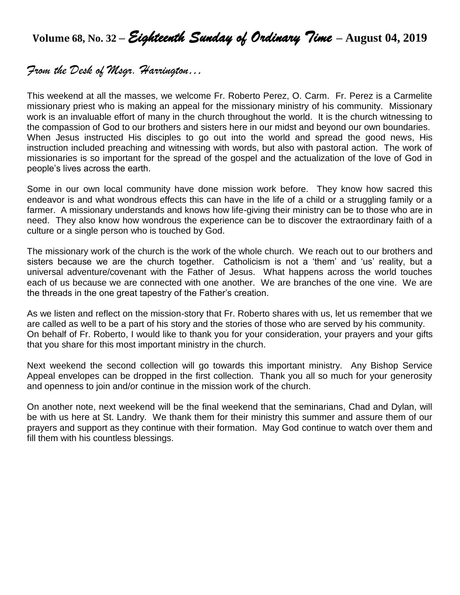**Volume 68, No. 32 –** *Eighteenth Sunday of Ordinary Time* **– August 04, 2019**

# *From the Desk of Msgr. Harrington…*

This weekend at all the masses, we welcome Fr. Roberto Perez, O. Carm. Fr. Perez is a Carmelite missionary priest who is making an appeal for the missionary ministry of his community. Missionary work is an invaluable effort of many in the church throughout the world. It is the church witnessing to the compassion of God to our brothers and sisters here in our midst and beyond our own boundaries. When Jesus instructed His disciples to go out into the world and spread the good news, His instruction included preaching and witnessing with words, but also with pastoral action. The work of missionaries is so important for the spread of the gospel and the actualization of the love of God in people's lives across the earth.

Some in our own local community have done mission work before. They know how sacred this endeavor is and what wondrous effects this can have in the life of a child or a struggling family or a farmer. A missionary understands and knows how life-giving their ministry can be to those who are in need. They also know how wondrous the experience can be to discover the extraordinary faith of a culture or a single person who is touched by God.

The missionary work of the church is the work of the whole church. We reach out to our brothers and sisters because we are the church together. Catholicism is not a 'them' and 'us' reality, but a universal adventure/covenant with the Father of Jesus. What happens across the world touches each of us because we are connected with one another. We are branches of the one vine. We are the threads in the one great tapestry of the Father's creation.

As we listen and reflect on the mission-story that Fr. Roberto shares with us, let us remember that we are called as well to be a part of his story and the stories of those who are served by his community. On behalf of Fr. Roberto, I would like to thank you for your consideration, your prayers and your gifts that you share for this most important ministry in the church.

Next weekend the second collection will go towards this important ministry. Any Bishop Service Appeal envelopes can be dropped in the first collection. Thank you all so much for your generosity and openness to join and/or continue in the mission work of the church.

On another note, next weekend will be the final weekend that the seminarians, Chad and Dylan, will be with us here at St. Landry. We thank them for their ministry this summer and assure them of our prayers and support as they continue with their formation. May God continue to watch over them and fill them with his countless blessings.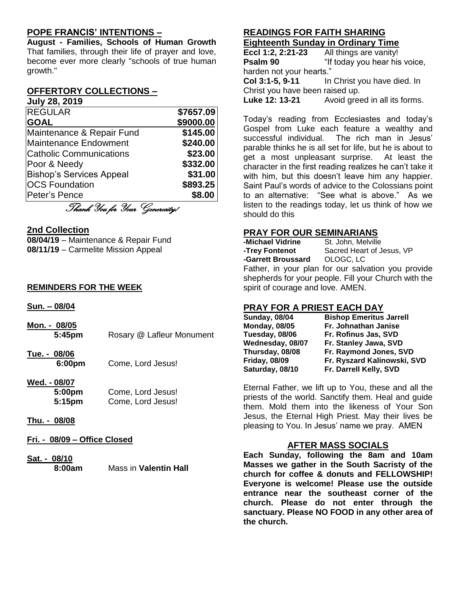## **POPE FRANCIS' INTENTIONS –**

**August - Families, Schools of Human Growth** That families, through their life of prayer and love, become ever more clearly "schools of true human growth."

#### **OFFERTORY COLLECTIONS – July 28, 2019**

| <b>REGULAR</b>                  | \$7657.09 |
|---------------------------------|-----------|
| <b>GOAL</b>                     | \$9000.00 |
| Maintenance & Repair Fund       | \$145.00  |
| Maintenance Endowment           | \$240.00  |
| <b>Catholic Communications</b>  | \$23.00   |
| Poor & Needy                    | \$332.00  |
| <b>Bishop's Services Appeal</b> | \$31.00   |
| <b>OCS Foundation</b>           | \$893.25  |
| Peter's Pence                   | \$8.00    |
| Thank You for Your Generosity!  |           |

#### **2nd Collection**

**08/04/19** – Maintenance & Repair Fund **08/11/19** – Carmelite Mission Appeal

#### **REMINDERS FOR THE WEEK**

**Sun. – 08/04**

- **Mon. - 08/05 5:45pm** Rosary @ Lafleur Monument
- **Tue. - 08/06 6:00pm** Come, Lord Jesus!
- **Wed. - 08/07 5:00pm** Come, Lord Jesus! **5:15pm** Come, Lord Jesus!
- **Thu. - 08/08**
- **Fri. - 08/09 – Office Closed**
- **Sat. - 08/10 8:00am** Mass in **Valentin Hall**

#### **READINGS FOR FAITH SHARING Eighteenth Sunday in Ordinary Time**

| Eccl 1:2, 2:21-23               | All things are vanity!                      |
|---------------------------------|---------------------------------------------|
| Psalm 90                        | "If today you hear his voice,               |
| harden not your hearts."        |                                             |
|                                 | Col 3:1-5, 9-11 In Christ you have died. In |
| Christ you have been raised up. |                                             |
| Luke 12: 13-21                  | Avoid greed in all its forms.               |

Today's reading from Ecclesiastes and today's Gospel from Luke each feature a wealthy and successful individual. The rich man in Jesus' parable thinks he is all set for life, but he is about to get a most unpleasant surprise. At least the character in the first reading realizes he can't take it with him, but this doesn't leave him any happier. Saint Paul's words of advice to the Colossians point to an alternative: "See what is above." As we listen to the readings today, let us think of how we should do this

## **PRAY FOR OUR SEMINARIANS**

| -Michael Vidrine   | St. John, Melville                             |
|--------------------|------------------------------------------------|
| -Trey Fontenot     | Sacred Heart of Jesus, VP                      |
| -Garrett Broussard | OLOGC, LC                                      |
|                    | Eather in your plan for our calvation you prov |

Father, in your plan for our salvation you provide shepherds for your people. Fill your Church with the spirit of courage and love. AMEN.

## **PRAY FOR A PRIEST EACH DAY**

| <b>Sunday, 08/04</b> | <b>Bishop Emeritus Jarrell</b> |
|----------------------|--------------------------------|
| <b>Monday, 08/05</b> | Fr. Johnathan Janise           |
| Tuesday, 08/06       | Fr. Rofinus Jas, SVD           |
| Wednesday, 08/07     | Fr. Stanley Jawa, SVD          |
| Thursday, 08/08      | Fr. Raymond Jones, SVD         |
| <b>Friday, 08/09</b> | Fr. Ryszard Kalinowski, SVD    |
| Saturday, 08/10      | Fr. Darrell Kelly, SVD         |

Eternal Father, we lift up to You, these and all the priests of the world. Sanctify them. Heal and guide them. Mold them into the likeness of Your Son Jesus, the Eternal High Priest. May their lives be pleasing to You. In Jesus' name we pray. AMEN

## **AFTER MASS SOCIALS**

**Each Sunday, following the 8am and 10am Masses we gather in the South Sacristy of the church for coffee & donuts and FELLOWSHIP! Everyone is welcome! Please use the outside entrance near the southeast corner of the church. Please do not enter through the sanctuary. Please NO FOOD in any other area of the church.**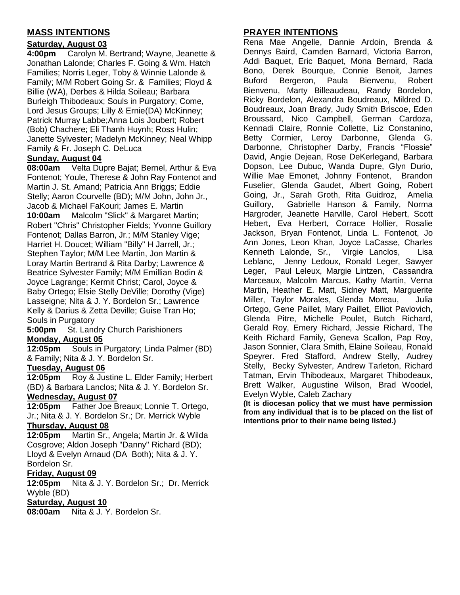# **MASS INTENTIONS**

## **Saturday, August 03**

**4:00pm** Carolyn M. Bertrand; Wayne, Jeanette & Jonathan Lalonde; Charles F. Going & Wm. Hatch Families; Norris Leger, Toby & Winnie Lalonde & Family; M/M Robert Going Sr. & Families; Floyd & Billie (WA), Derbes & Hilda Soileau; Barbara Burleigh Thibodeaux; Souls in Purgatory; Come, Lord Jesus Groups; Lilly & Ernie(DA) McKinney; Patrick Murray Labbe;Anna Lois Joubert; Robert (Bob) Chachere; Eli Thanh Huynh; Ross Hulin; Janette Sylvester; Madelyn McKinney; Neal Whipp Family & Fr. Joseph C. DeLuca

## **Sunday, August 04**

**08:00am** Velta Dupre Bajat; Bernel, Arthur & Eva Fontenot; Youle, Therese & John Ray Fontenot and Martin J. St. Amand; Patricia Ann Briggs; Eddie Stelly; Aaron Courvelle (BD); M/M John, John Jr., Jacob & Michael FaKouri; James E. Martin **10:00am** Malcolm "Slick" & Margaret Martin; Robert "Chris" Christopher Fields; Yvonne Guillory Fontenot; Dallas Barron, Jr.; M/M Stanley Vige; Harriet H. Doucet; William "Billy" H Jarrell, Jr.; Stephen Taylor; M/M Lee Martin, Jon Martin & Loray Martin Bertrand & Rita Darby; Lawrence & Beatrice Sylvester Family; M/M Emillian Bodin & Joyce Lagrange; Kermit Christ; Carol, Joyce & Baby Ortego; Elsie Stelly DeVille; Dorothy (Vige) Lasseigne; Nita & J. Y. Bordelon Sr.; Lawrence Kelly & Darius & Zetta Deville; Guise Tran Ho; Souls in Purgatory

**5:00pm** St. Landry Church Parishioners **Monday, August 05**

**12:05pm** Souls in Purgatory; Linda Palmer (BD) & Family; Nita & J. Y. Bordelon Sr.

## **Tuesday, August 06**

**12:05pm** Roy & Justine L. Elder Family; Herbert (BD) & Barbara Lanclos; Nita & J. Y. Bordelon Sr.

# **Wednesday, August 07**

**12:05pm** Father Joe Breaux; Lonnie T. Ortego, Jr.; Nita & J. Y. Bordelon Sr.; Dr. Merrick Wyble

#### **Thursday, August 08**

**12:05pm** Martin Sr., Angela; Martin Jr. & Wilda Cosgrove; Aldon Joseph "Danny" Richard (BD); Lloyd & Evelyn Arnaud (DA Both); Nita & J. Y. Bordelon Sr.

## **Friday, August 09**

**12:05pm** Nita & J. Y. Bordelon Sr.; Dr. Merrick Wyble (BD)

#### **Saturday, August 10**

**08:00am** Nita & J. Y. Bordelon Sr.

## **PRAYER INTENTIONS**

Rena Mae Angelle, Dannie Ardoin, Brenda & Dennys Baird, Camden Barnard, Victoria Barron, Addi Baquet, Eric Baquet, Mona Bernard, Rada Bono, Derek Bourque, Connie Benoit, James Buford Bergeron, Paula Bienvenu, Robert Bienvenu, Marty Billeaudeau, Randy Bordelon, Ricky Bordelon, Alexandra Boudreaux, Mildred D. Boudreaux, Joan Brady, Judy Smith Briscoe, Eden Broussard, Nico Campbell, German Cardoza, Kennadi Claire, Ronnie Collette, Liz Constanino, Betty Cormier, Leroy Darbonne, Glenda G. Darbonne, Christopher Darby, Francis "Flossie" David, Angie Dejean, Rose DeKerlegand, Barbara Dopson, Lee Dubuc, Wanda Dupre, Glyn Durio, Willie Mae Emonet, Johnny Fontenot, Brandon Fuselier, Glenda Gaudet, Albert Going, Robert Going, Jr., Sarah Groth, Rita Guidroz, Amelia Guillory, Gabrielle Hanson & Family, Norma Hargroder, Jeanette Harville, Carol Hebert, Scott Hebert, Eva Herbert, Corrace Hollier, Rosalie Jackson, Bryan Fontenot, Linda L. Fontenot, Jo Ann Jones, Leon Khan, Joyce LaCasse, Charles Kenneth Lalonde, Sr., Virgie Lanclos, Lisa Leblanc, Jenny Ledoux, Ronald Leger, Sawyer Leger, Paul Leleux, Margie Lintzen, Cassandra Marceaux, Malcolm Marcus, Kathy Martin, Verna Martin, Heather E. Matt, Sidney Matt, Marguerite Miller, Taylor Morales, Glenda Moreau, Julia Ortego, Gene Paillet, Mary Paillet, Elliot Pavlovich, Glenda Pitre, Michelle Poulet, Butch Richard, Gerald Roy, Emery Richard, Jessie Richard, The Keith Richard Family, Geneva Scallon, Pap Roy, Jason Sonnier, Clara Smith, Elaine Soileau, Ronald Speyrer. Fred Stafford, Andrew Stelly, Audrey Stelly, Becky Sylvester, Andrew Tarleton, Richard Tatman, Ervin Thibodeaux, Margaret Thibodeaux, Brett Walker, Augustine Wilson, Brad Woodel, Evelyn Wyble, Caleb Zachary

**(It is diocesan policy that we must have permission from any individual that is to be placed on the list of intentions prior to their name being listed.)**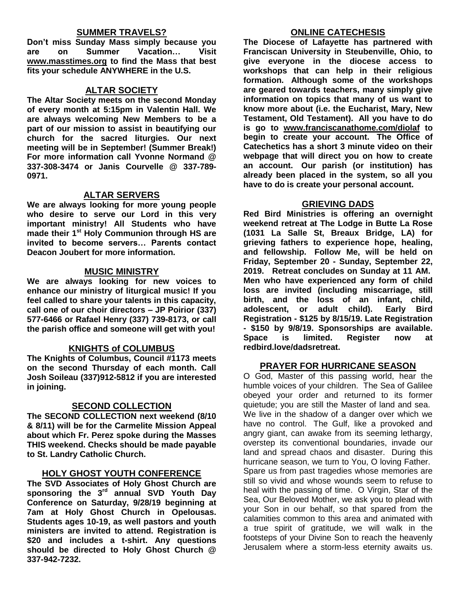#### **SUMMER TRAVELS?**

**Don't miss Sunday Mass simply because you are on Summer Vacation… Visit [www.masstimes.org](http://www.masstimes.org/) to find the Mass that best fits your schedule ANYWHERE in the U.S.**

#### **ALTAR SOCIETY**

**The Altar Society meets on the second Monday of every month at 5:15pm in Valentin Hall. We are always welcoming New Members to be a part of our mission to assist in beautifying our church for the sacred liturgies. Our next meeting will be in September! (Summer Break!) For more information call Yvonne Normand @ 337-308-3474 or Janis Courvelle @ 337-789- 0971.** 

#### **ALTAR SERVERS**

**We are always looking for more young people who desire to serve our Lord in this very important ministry! All Students who have made their 1st Holy Communion through HS are invited to become servers… Parents contact Deacon Joubert for more information.**

#### **MUSIC MINISTRY**

**We are always looking for new voices to enhance our ministry of liturgical music! If you feel called to share your talents in this capacity, call one of our choir directors – JP Poirior (337) 577-6466 or Rafael Henry (337) 739-8173, or call the parish office and someone will get with you!**

#### **KNIGHTS of COLUMBUS**

**The Knights of Columbus, Council #1173 meets on the second Thursday of each month. Call Josh Soileau (337)912-5812 if you are interested in joining.** 

## **SECOND COLLECTION**

**The SECOND COLLECTION next weekend (8/10 & 8/11) will be for the Carmelite Mission Appeal about which Fr. Perez spoke during the Masses THIS weekend. Checks should be made payable to St. Landry Catholic Church.** 

## **HOLY GHOST YOUTH CONFERENCE**

**The SVD Associates of Holy Ghost Church are sponsoring the 3rd annual SVD Youth Day Conference on Saturday, 9/28/19 beginning at 7am at Holy Ghost Church in Opelousas. Students ages 10-19, as well pastors and youth ministers are invited to attend. Registration is \$20 and includes a t-shirt. Any questions should be directed to Holy Ghost Church @ 337-942-7232.**

#### **ONLINE CATECHESIS**

**The Diocese of Lafayette has partnered with Franciscan University in Steubenville, Ohio, to give everyone in the diocese access to workshops that can help in their religious formation. Although some of the workshops are geared towards teachers, many simply give information on topics that many of us want to know more about (i.e. the Eucharist, Mary, New Testament, Old Testament). All you have to do is go to [www.franciscanathome.com/diolaf](http://www.franciscanathome.com/diolaf) to begin to create your account. The Office of Catechetics has a short 3 minute video on their webpage that will direct you on how to create an account. Our parish (or institution) has already been placed in the system, so all you have to do is create your personal account.**

#### **GRIEVING DADS**

**Red Bird Ministries is offering an overnight weekend retreat at The Lodge in Butte La Rose (1031 La Salle St, Breaux Bridge, LA) for grieving fathers to experience hope, healing, and fellowship. Follow Me, will be held on Friday, September 20 - Sunday, September 22, 2019. Retreat concludes on Sunday at 11 AM. Men who have experienced any form of child loss are invited (including miscarriage, still birth, and the loss of an infant, child, adolescent, or adult child). Early Bird Registration - \$125 by 8/15/19. Late Registration - \$150 by 9/8/19. Sponsorships are available. Space is limited. Register now at redbird.love/dadsretreat.**

#### **PRAYER FOR HURRICANE SEASON**

O God, Master of this passing world, hear the humble voices of your children. The Sea of Galilee obeyed your order and returned to its former quietude; you are still the Master of land and sea. We live in the shadow of a danger over which we have no control. The Gulf, like a provoked and angry giant, can awake from its seeming lethargy, overstep its conventional boundaries, invade our land and spread chaos and disaster. During this hurricane season, we turn to You, O loving Father. Spare us from past tragedies whose memories are still so vivid and whose wounds seem to refuse to heal with the passing of time. O Virgin, Star of the Sea, Our Beloved Mother, we ask you to plead with your Son in our behalf, so that spared from the calamities common to this area and animated with a true spirit of gratitude, we will walk in the footsteps of your Divine Son to reach the heavenly Jerusalem where a storm-less eternity awaits us.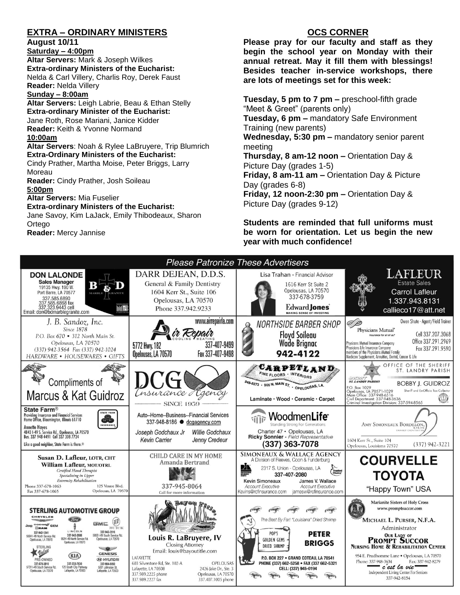# **EXTRA – ORDINARY MINISTERS**

**August 10/11**

**Saturday – 4:00pm Altar Servers:** Mark & Joseph Wilkes **Extra-ordinary Ministers of the Eucharist:**  Nelda & Carl Villery, Charlis Roy, Derek Faust **Reader:** Nelda Villery **Sunday – 8:00am**

**Altar Servers:** Leigh Labrie, Beau & Ethan Stelly **Extra-ordinary Minister of the Eucharist:** Jane Roth, Rose Mariani, Janice Kidder **Reader:** Keith & Yvonne Normand **10:00am Altar Servers**: Noah & Rylee LaBruyere, Trip Blumrich **Extra-Ordinary Ministers of the Eucharist:** Cindy Prather, Martha Moise, Peter Briggs, Larry Moreau **Reader:** Cindy Prather, Josh Soileau **5:00pm Altar Servers:** Mia Fuselier **Extra-ordinary Ministers of the Eucharist:**

Jane Savoy, Kim LaJack, Emily Thibodeaux, Sharon **Ortego Reader:** Mercy Jannise

# **OCS CORNER**

**Please pray for our faculty and staff as they begin the school year on Monday with their annual retreat. May it fill them with blessings! Besides teacher in-service workshops, there are lots of meetings set for this week:**

**Tuesday, 5 pm to 7 pm –** preschool-fifth grade "Meet & Greet" (parents only) **Tuesday, 6 pm –** mandatory Safe Environment Training (new parents) **Wednesday, 5:30 pm –** mandatory senior parent meeting **Thursday, 8 am-12 noon –** Orientation Day & Picture Day (grades 1-5) **Friday, 8 am-11 am –** Orientation Day & Picture Day (grades 6-8) **Friday, 12 noon-2:30 pm –** Orientation Day & Picture Day (grades 9-12)

**Students are reminded that full uniforms must be worn for orientation. Let us begin the new year with much confidence!**